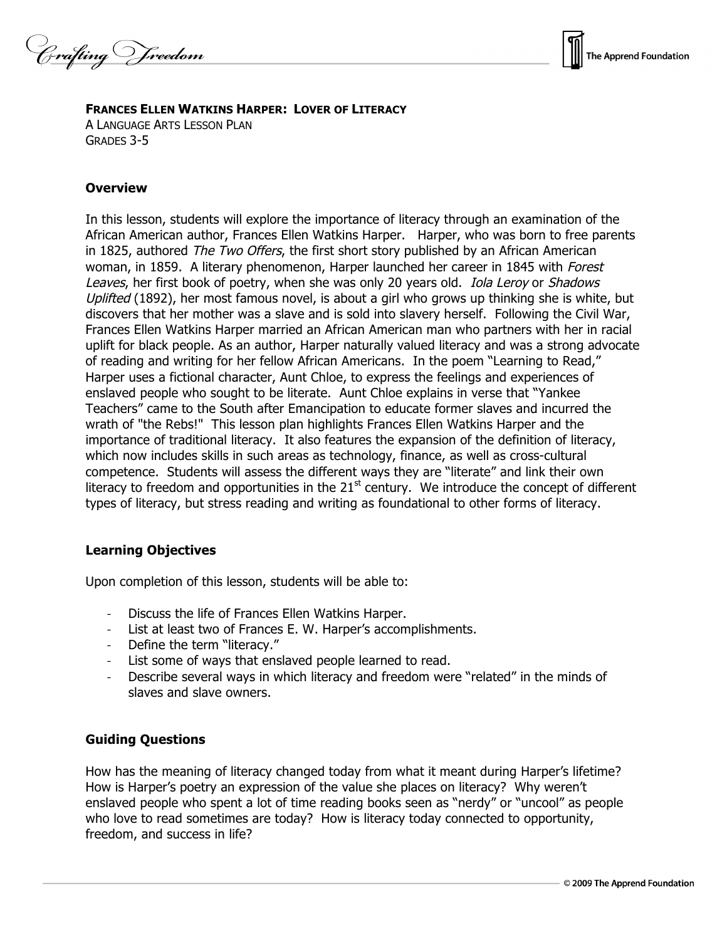Crafting Vreedom

# **FRANCES ELLEN WATKINS HARPER: LOVER OF LITERACY**

A LANGUAGE ARTS LESSON PLAN GRADES 3-5

# **Overview**

In this lesson, students will explore the importance of literacy through an examination of the African American author, Frances Ellen Watkins Harper. Harper, who was born to free parents in 1825, authored The Two Offers, the first short story published by an African American woman, in 1859. A literary phenomenon, Harper launched her career in 1845 with Forest Leaves, her first book of poetry, when she was only 20 years old. *Iola Leroy* or *Shadows* Uplifted (1892), her most famous novel, is about a girl who grows up thinking she is white, but discovers that her mother was a slave and is sold into slavery herself. Following the Civil War, Frances Ellen Watkins Harper married an African American man who partners with her in racial uplift for black people. As an author, Harper naturally valued literacy and was a strong advocate of reading and writing for her fellow African Americans. In the poem "Learning to Read," Harper uses a fictional character, Aunt Chloe, to express the feelings and experiences of enslaved people who sought to be literate. Aunt Chloe explains in verse that "Yankee Teachers" came to the South after Emancipation to educate former slaves and incurred the wrath of "the Rebs!" This lesson plan highlights Frances Ellen Watkins Harper and the importance of traditional literacy. It also features the expansion of the definition of literacy, which now includes skills in such areas as technology, finance, as well as cross-cultural competence. Students will assess the different ways they are "literate" and link their own literacy to freedom and opportunities in the  $21<sup>st</sup>$  century. We introduce the concept of different types of literacy, but stress reading and writing as foundational to other forms of literacy.

### **Learning Objectives**

Upon completion of this lesson, students will be able to:

- Discuss the life of Frances Ellen Watkins Harper.
- List at least two of Frances E. W. Harper's accomplishments.
- Define the term "literacy."
- List some of ways that enslaved people learned to read.
- Describe several ways in which literacy and freedom were "related" in the minds of slaves and slave owners.

### **Guiding Questions**

How has the meaning of literacy changed today from what it meant during Harper's lifetime? How is Harper's poetry an expression of the value she places on literacy? Why weren't enslaved people who spent a lot of time reading books seen as "nerdy" or "uncool" as people who love to read sometimes are today? How is literacy today connected to opportunity, freedom, and success in life?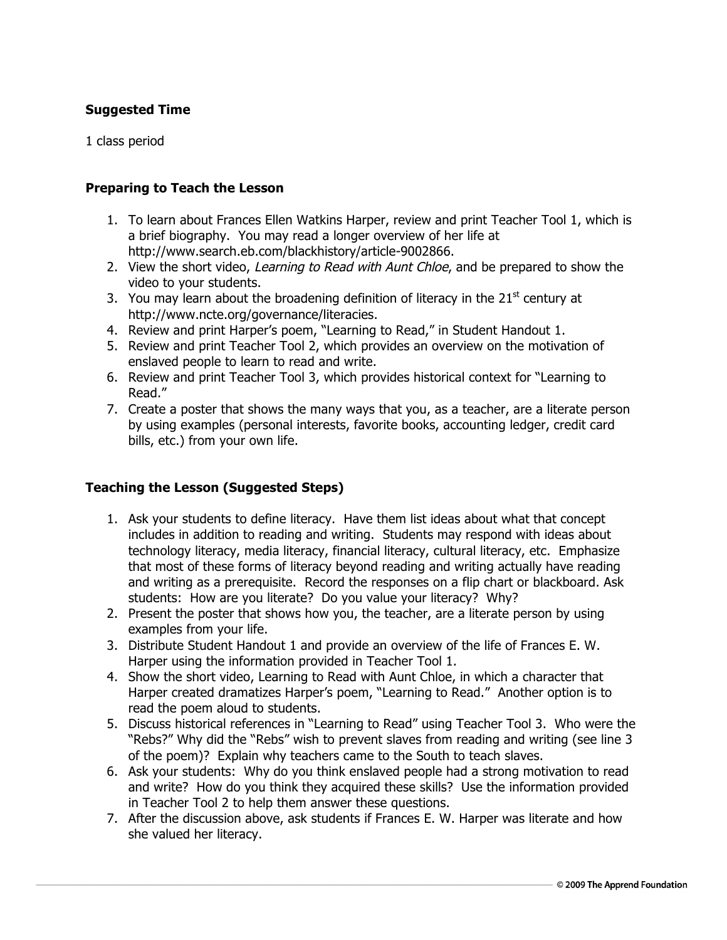## **Suggested Time**

1 class period

#### **Preparing to Teach the Lesson**

- 1. To learn about Frances Ellen Watkins Harper, review and print Teacher Tool 1, which is a brief biography. You may read a longer overview of her life at http://www.search.eb.com/blackhistory/article-9002866.
- 2. View the short video, Learning to Read with Aunt Chloe, and be prepared to show the video to your students.
- 3. You may learn about the broadening definition of literacy in the 21 $^{\rm st}$  century at http://www.ncte.org/governance/literacies.
- 4. Review and print Harper's poem, "Learning to Read," in Student Handout 1.
- 5. Review and print Teacher Tool 2, which provides an overview on the motivation of enslaved people to learn to read and write.
- 6. Review and print Teacher Tool 3, which provides historical context for "Learning to Read."
- 7. Create a poster that shows the many ways that you, as a teacher, are a literate person by using examples (personal interests, favorite books, accounting ledger, credit card bills, etc.) from your own life.

### **Teaching the Lesson (Suggested Steps)**

- 1. Ask your students to define literacy. Have them list ideas about what that concept includes in addition to reading and writing. Students may respond with ideas about technology literacy, media literacy, financial literacy, cultural literacy, etc. Emphasize that most of these forms of literacy beyond reading and writing actually have reading and writing as a prerequisite. Record the responses on a flip chart or blackboard. Ask students: How are you literate? Do you value your literacy? Why?
- 2. Present the poster that shows how you, the teacher, are a literate person by using examples from your life.
- 3. Distribute Student Handout 1 and provide an overview of the life of Frances E. W. Harper using the information provided in Teacher Tool 1.
- 4. Show the short video, Learning to Read with Aunt Chloe, in which a character that Harper created dramatizes Harper's poem, "Learning to Read." Another option is to read the poem aloud to students.
- 5. Discuss historical references in "Learning to Read" using Teacher Tool 3. Who were the "Rebs?" Why did the "Rebs" wish to prevent slaves from reading and writing (see line 3 of the poem)? Explain why teachers came to the South to teach slaves.
- 6. Ask your students: Why do you think enslaved people had a strong motivation to read and write? How do you think they acquired these skills? Use the information provided in Teacher Tool 2 to help them answer these questions.
- 7. After the discussion above, ask students if Frances E. W. Harper was literate and how she valued her literacy.